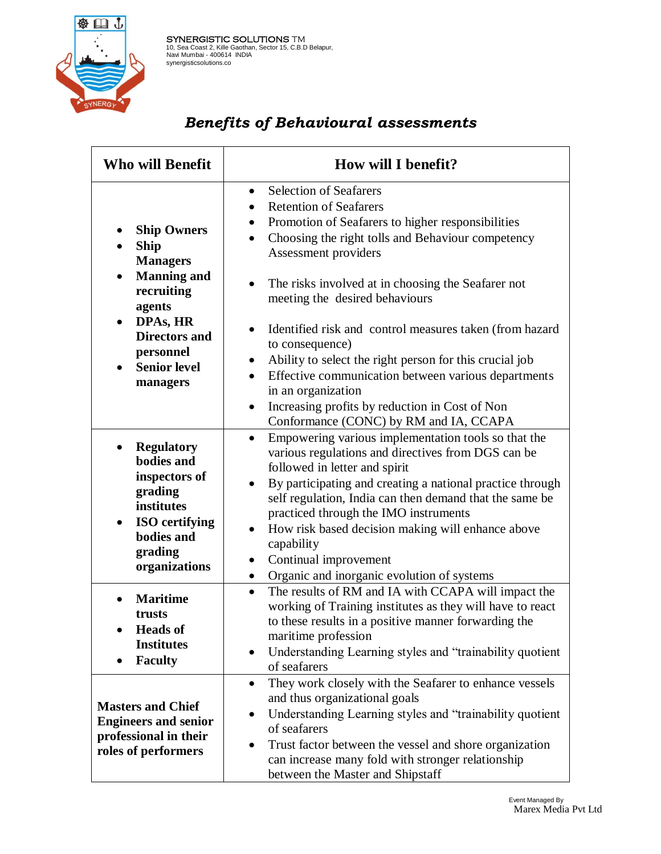

**SYNERGISTIC SOLUTIONS** TM 10, Sea Coast 2, Kille Gaothan, Sector 15, C.B.D Belapur,<br>
Navi Mumbai - 400614 INDIA<br>
synergisticsolutions.co

## *Benefits of Behavioural assessments*

| <b>Who will Benefit</b>                                                                                                                                        | How will I benefit?                                                                                                                                                                                                                                                                                                                                                                                                                                                                          |
|----------------------------------------------------------------------------------------------------------------------------------------------------------------|----------------------------------------------------------------------------------------------------------------------------------------------------------------------------------------------------------------------------------------------------------------------------------------------------------------------------------------------------------------------------------------------------------------------------------------------------------------------------------------------|
| <b>Ship Owners</b><br><b>Ship</b><br><b>Managers</b><br><b>Manning and</b><br>$\bullet$<br>recruiting<br>agents                                                | <b>Selection of Seafarers</b><br>$\bullet$<br><b>Retention of Seafarers</b><br>Promotion of Seafarers to higher responsibilities<br>Choosing the right tolls and Behaviour competency<br>$\bullet$<br>Assessment providers<br>The risks involved at in choosing the Seafarer not<br>meeting the desired behaviours                                                                                                                                                                           |
| DPAs, HR<br>$\bullet$<br><b>Directors and</b><br>personnel<br><b>Senior level</b><br>$\bullet$<br>managers                                                     | Identified risk and control measures taken (from hazard<br>to consequence)<br>Ability to select the right person for this crucial job<br>Effective communication between various departments<br>$\bullet$<br>in an organization<br>Increasing profits by reduction in Cost of Non<br>$\bullet$<br>Conformance (CONC) by RM and IA, CCAPA                                                                                                                                                     |
| <b>Regulatory</b><br>٠<br>bodies and<br>inspectors of<br>grading<br>institutes<br><b>ISO</b> certifying<br>$\bullet$<br>bodies and<br>grading<br>organizations | Empowering various implementation tools so that the<br>$\bullet$<br>various regulations and directives from DGS can be<br>followed in letter and spirit<br>By participating and creating a national practice through<br>$\bullet$<br>self regulation, India can then demand that the same be<br>practiced through the IMO instruments<br>How risk based decision making will enhance above<br>capability<br>Continual improvement<br>Organic and inorganic evolution of systems<br>$\bullet$ |
| <b>Maritime</b><br>trusts<br><b>Heads of</b><br><b>Institutes</b><br><b>Faculty</b>                                                                            | The results of RM and IA with CCAPA will impact the<br>working of Training institutes as they will have to react<br>to these results in a positive manner forwarding the<br>maritime profession<br>Understanding Learning styles and "trainability quotient"<br>$\bullet$<br>of seafarers                                                                                                                                                                                                    |
| <b>Masters and Chief</b><br><b>Engineers and senior</b><br>professional in their<br>roles of performers                                                        | They work closely with the Seafarer to enhance vessels<br>$\bullet$<br>and thus organizational goals<br>Understanding Learning styles and "trainability quotient<br>of seafarers<br>Trust factor between the vessel and shore organization<br>$\bullet$<br>can increase many fold with stronger relationship<br>between the Master and Shipstaff                                                                                                                                             |